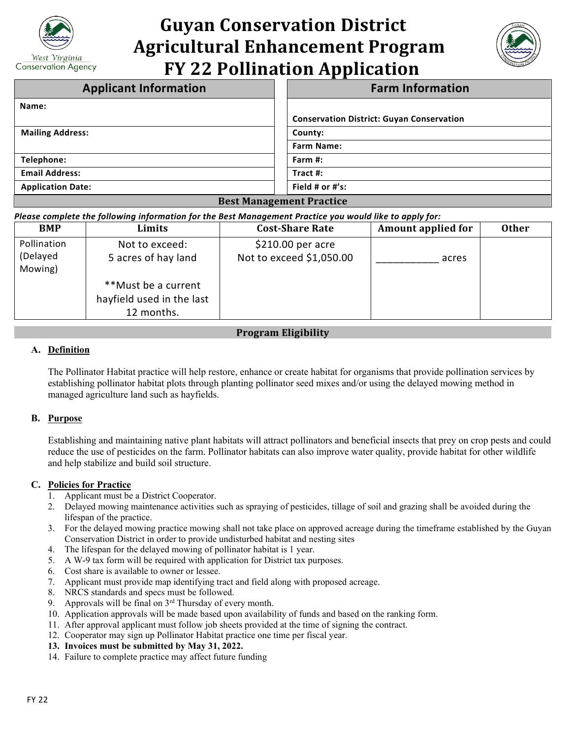

# **Guyan Conservation District Agricultural Enhancement Program FY 22 Pollination Application**



| <b>Applicant Information</b>    | <b>Farm Information</b>                          |  |
|---------------------------------|--------------------------------------------------|--|
| Name:                           |                                                  |  |
|                                 | <b>Conservation District: Guyan Conservation</b> |  |
| <b>Mailing Address:</b>         | County:                                          |  |
|                                 | <b>Farm Name:</b>                                |  |
| Telephone:                      | Farm $#$ :                                       |  |
| <b>Email Address:</b>           | Tract #:                                         |  |
| <b>Application Date:</b>        | Field # or #'s:                                  |  |
| <b>Best Management Practice</b> |                                                  |  |

#### *Please complete the following information for the Best Management Practice you would like to apply for:*

| <b>BMP</b>          | Limits                    | <b>Cost-Share Rate</b>   | <b>Amount applied for</b> | <b>Other</b> |
|---------------------|---------------------------|--------------------------|---------------------------|--------------|
| Pollination         | Not to exceed:            | $$210.00$ per acre       |                           |              |
| (Delayed<br>Mowing) | 5 acres of hay land       | Not to exceed \$1,050.00 | acres                     |              |
|                     | **Must be a current       |                          |                           |              |
|                     | hayfield used in the last |                          |                           |              |
|                     | 12 months.                |                          |                           |              |

# **Program Eligibility**

## **A. Definition**

The Pollinator Habitat practice will help restore, enhance or create habitat for organisms that provide pollination services by establishing pollinator habitat plots through planting pollinator seed mixes and/or using the delayed mowing method in managed agriculture land such as hayfields.

## **B. Purpose**

Establishing and maintaining native plant habitats will attract pollinators and beneficial insects that prey on crop pests and could reduce the use of pesticides on the farm. Pollinator habitats can also improve water quality, provide habitat for other wildlife and help stabilize and build soil structure.

## **C. Policies for Practice**

- 1. Applicant must be a District Cooperator.
- 2. Delayed mowing maintenance activities such as spraying of pesticides, tillage of soil and grazing shall be avoided during the lifespan of the practice.
- 3. For the delayed mowing practice mowing shall not take place on approved acreage during the timeframe established by the Guyan Conservation District in order to provide undisturbed habitat and nesting sites
- 4. The lifespan for the delayed mowing of pollinator habitat is 1 year.
- 5. A W-9 tax form will be required with application for District tax purposes.
- 6. Cost share is available to owner or lessee.
- 7. Applicant must provide map identifying tract and field along with proposed acreage.
- 8. NRCS standards and specs must be followed.
- 9. Approvals will be final on  $3<sup>rd</sup>$  Thursday of every month.
- 10. Application approvals will be made based upon availability of funds and based on the ranking form.
- 11. After approval applicant must follow job sheets provided at the time of signing the contract.
- 12. Cooperator may sign up Pollinator Habitat practice one time per fiscal year.
- **13. Invoices must be submitted by May 31, 2022.**
- 14. Failure to complete practice may affect future funding